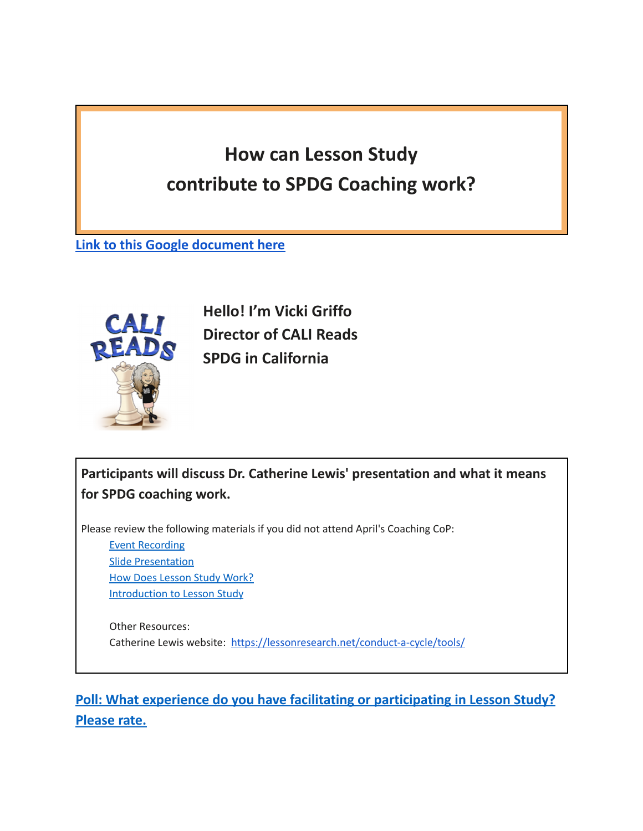## **How can Lesson Study contribute to SPDG Coaching work?**

**Link to this Google [document](https://docs.google.com/document/d/14kGSBVEi439Du69lmkv80zZaSPl0VHHbfuoeiwiaU4c/edit?usp=sharing) here**



**Hello! I'm Vicki Griffo Director of CALI Reads SPDG in California**

**Participants will discuss Dr. Catherine Lewis' presentation and what it means for SPDG coaching work.**

Please review the following materials if you did not attend April's Coaching CoP:

Event [Recording](https://urldefense.com/v3/__http:/www.signetwork.org/content_page_assets/content_page_352/C_Lewis_Lesson_Study.pdf__;!!C5qS4YX3!UaSPaCofEnqmo7FlaNu7G8x_pi7L67wdgBGmMej09dHXkcq_4nnFRuSp_5AjeZ4$) Slide [Presentation](https://urldefense.com/v3/__http:/www.signetwork.org/content_page_assets/content_page_352/C_Lewis_Lesson_Study.pdf__;!!C5qS4YX3!UaSPaCofEnqmo7FlaNu7G8x_pi7L67wdgBGmMej09dHXkcq_4nnFRuSp_5AjeZ4$) How Does [Lesson](https://urldefense.com/v3/__http:/www.signetwork.org/content_page_assets/content_page_352/C_Lewis_How-Does-Lesson-Study-Work.pdf__;!!C5qS4YX3!UaSPaCofEnqmo7FlaNu7G8x_pi7L67wdgBGmMej09dHXkcq_4nnFRuSpsDjEK-Y$) Study Work? [Introduction](https://urldefense.com/v3/__http:/www.signetwork.org/content_page_assets/content_page_352/C_Lewis_Introduction_to_Lesson_Study.pdf__;!!C5qS4YX3!UaSPaCofEnqmo7FlaNu7G8x_pi7L67wdgBGmMej09dHXkcq_4nnFRuSpkj7z9XA$) to Lesson Study

Other Resources: Catherine Lewis website: <https://lessonresearch.net/conduct-a-cycle/tools/>

**Poll: What experience do you have facilitating or participating in Lesson Study? Please rate.**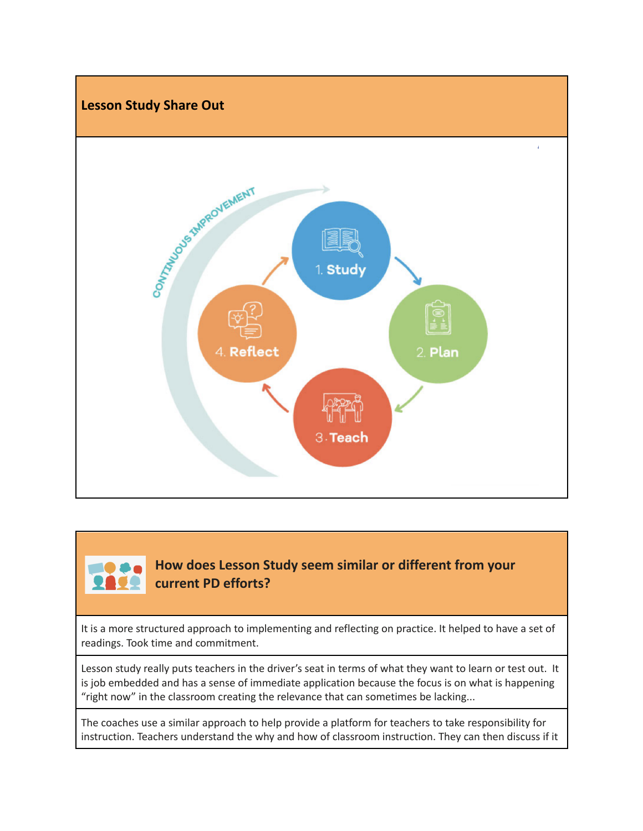

## **How does Lesson Study seem similar or different from your current PD efforts?**

It is a more structured approach to implementing and reflecting on practice. It helped to have a set of readings. Took time and commitment.

Lesson study really puts teachers in the driver's seat in terms of what they want to learn or test out. It is job embedded and has a sense of immediate application because the focus is on what is happening "right now" in the classroom creating the relevance that can sometimes be lacking...

The coaches use a similar approach to help provide a platform for teachers to take responsibility for instruction. Teachers understand the why and how of classroom instruction. They can then discuss if it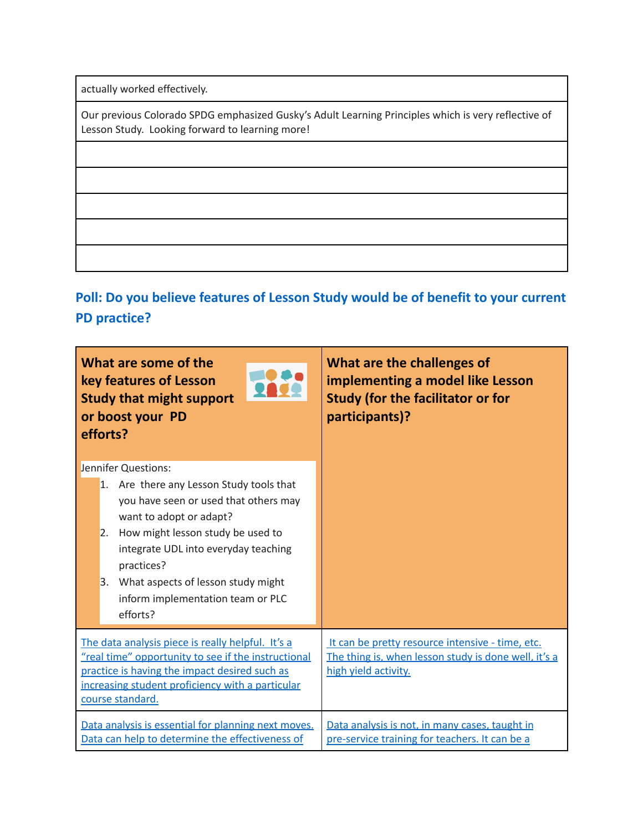actually worked effectively.

Our previous Colorado SPDG emphasized Gusky's Adult Learning Principles which is very reflective of Lesson Study. Looking forward to learning more!

**Poll: Do you believe features of Lesson Study would be of benefit to your current PD practice?**

| What are some of the<br>key features of Lesson<br><b>Study that might support</b><br>or boost your PD<br>efforts?                                                                                                                                                                                                                 | What are the challenges of<br>implementing a model like Lesson<br><b>Study (for the facilitator or for</b><br>participants)?     |  |  |  |
|-----------------------------------------------------------------------------------------------------------------------------------------------------------------------------------------------------------------------------------------------------------------------------------------------------------------------------------|----------------------------------------------------------------------------------------------------------------------------------|--|--|--|
| Jennifer Questions:<br>1. Are there any Lesson Study tools that<br>you have seen or used that others may<br>want to adopt or adapt?<br>How might lesson study be used to<br>2.<br>integrate UDL into everyday teaching<br>practices?<br>What aspects of lesson study might<br>3.<br>inform implementation team or PLC<br>efforts? |                                                                                                                                  |  |  |  |
| The data analysis piece is really helpful. It's a<br>"real time" opportunity to see if the instructional<br>practice is having the impact desired such as<br>increasing student proficiency with a particular<br>course standard.                                                                                                 | It can be pretty resource intensive - time, etc.<br>The thing is, when lesson study is done well, it's a<br>high yield activity. |  |  |  |
| Data analysis is essential for planning next moves.<br>Data can help to determine the effectiveness of                                                                                                                                                                                                                            | Data analysis is not, in many cases, taught in<br>pre-service training for teachers. It can be a                                 |  |  |  |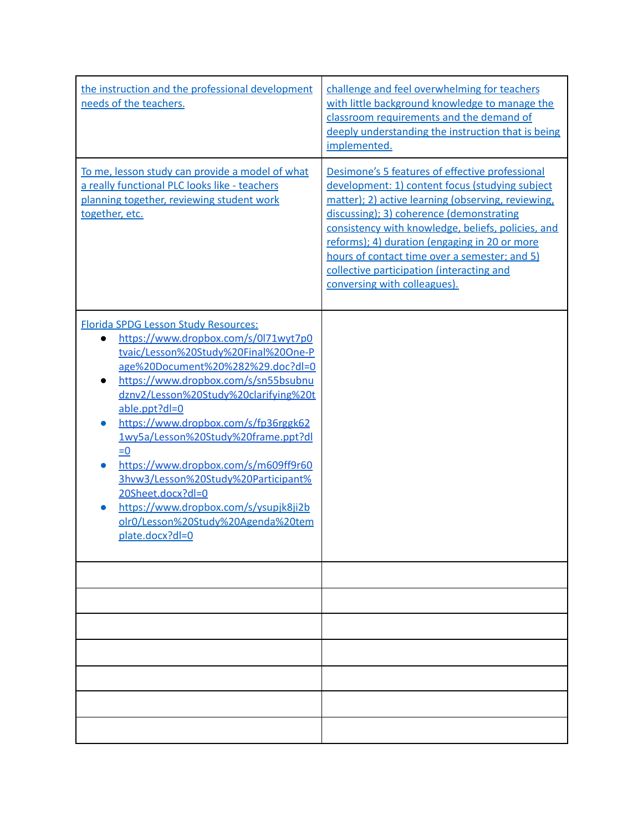| the instruction and the professional development<br>needs of the teachers.                                                                                                                                                                                                                                                                                                                                                                                                                                                                                                                 | challenge and feel overwhelming for teachers<br>with little background knowledge to manage the<br>classroom requirements and the demand of<br>deeply understanding the instruction that is being<br>implemented.                                                                                                                                                                                                                          |
|--------------------------------------------------------------------------------------------------------------------------------------------------------------------------------------------------------------------------------------------------------------------------------------------------------------------------------------------------------------------------------------------------------------------------------------------------------------------------------------------------------------------------------------------------------------------------------------------|-------------------------------------------------------------------------------------------------------------------------------------------------------------------------------------------------------------------------------------------------------------------------------------------------------------------------------------------------------------------------------------------------------------------------------------------|
| To me, lesson study can provide a model of what<br>a really functional PLC looks like - teachers<br>planning together, reviewing student work<br>together, etc.                                                                                                                                                                                                                                                                                                                                                                                                                            | Desimone's 5 features of effective professional<br>development: 1) content focus (studying subject<br>matter); 2) active learning (observing, reviewing,<br>discussing); 3) coherence (demonstrating<br>consistency with knowledge, beliefs, policies, and<br>reforms); 4) duration (engaging in 20 or more<br>hours of contact time over a semester; and 5)<br>collective participation (interacting and<br>conversing with colleagues). |
| <b>Florida SPDG Lesson Study Resources:</b><br>https://www.dropbox.com/s/0l71wyt7p0<br>$\bullet$<br>tvaic/Lesson%20Study%20Final%20One-P<br>age%20Document%20%282%29.doc?dl=0<br>https://www.dropbox.com/s/sn55bsubnu<br>$\bullet$<br>dznv2/Lesson%20Study%20clarifying%20t<br>able.ppt?dl=0<br>https://www.dropbox.com/s/fp36rggk62<br>1wy5a/Lesson%20Study%20frame.ppt?dl<br>$= 0$<br>https://www.dropbox.com/s/m609ff9r60<br>3hvw3/Lesson%20Study%20Participant%<br>20Sheet.docx?dl=0<br>https://www.dropbox.com/s/ysupjk8ji2b<br>olr0/Lesson%20Study%20Agenda%20tem<br>plate.docx?dl=0 |                                                                                                                                                                                                                                                                                                                                                                                                                                           |
|                                                                                                                                                                                                                                                                                                                                                                                                                                                                                                                                                                                            |                                                                                                                                                                                                                                                                                                                                                                                                                                           |
|                                                                                                                                                                                                                                                                                                                                                                                                                                                                                                                                                                                            |                                                                                                                                                                                                                                                                                                                                                                                                                                           |
|                                                                                                                                                                                                                                                                                                                                                                                                                                                                                                                                                                                            |                                                                                                                                                                                                                                                                                                                                                                                                                                           |
|                                                                                                                                                                                                                                                                                                                                                                                                                                                                                                                                                                                            |                                                                                                                                                                                                                                                                                                                                                                                                                                           |
|                                                                                                                                                                                                                                                                                                                                                                                                                                                                                                                                                                                            |                                                                                                                                                                                                                                                                                                                                                                                                                                           |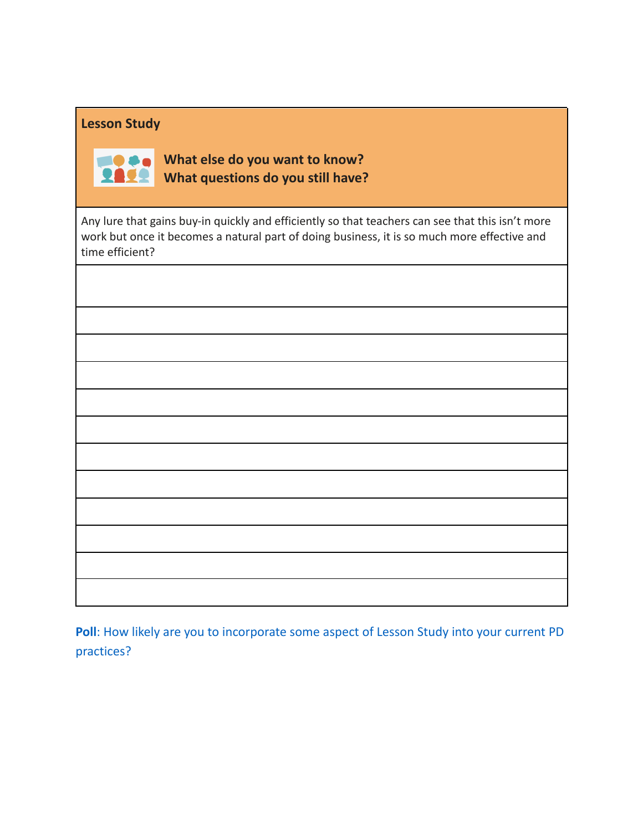## **Lesson Study**



**What else do you want to know? What questions do you still have?**

Any lure that gains buy-in quickly and efficiently so that teachers can see that this isn't more work but once it becomes a natural part of doing business, it is so much more effective and time efficient?

| <b>Poll:</b> How likely are you to incorporate some aspect of Lesson Study into your current PD |  |  |  |  |
|-------------------------------------------------------------------------------------------------|--|--|--|--|
| practices?                                                                                      |  |  |  |  |